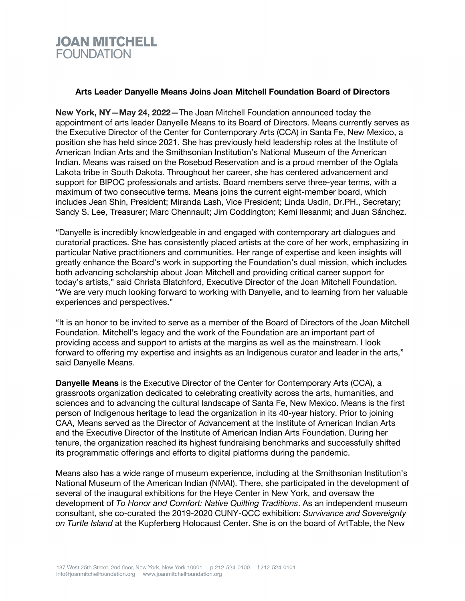## **JOAN MITCHELL FOUNDATION**

## **Arts Leader Danyelle Means Joins Joan Mitchell Foundation Board of Directors**

**New York, NY—May 24, 2022—**The Joan Mitchell Foundation announced today the appointment of arts leader Danyelle Means to its Board of Directors. Means currently serves as the Executive Director of the Center for Contemporary Arts (CCA) in Santa Fe, New Mexico, a position she has held since 2021. She has previously held leadership roles at the Institute of American Indian Arts and the Smithsonian Institution's National Museum of the American Indian. Means was raised on the Rosebud Reservation and is a proud member of the Oglala Lakota tribe in South Dakota. Throughout her career, she has centered advancement and support for BIPOC professionals and artists. Board members serve three-year terms, with a maximum of two consecutive terms. Means joins the current eight-member board, which includes Jean Shin, President; Miranda Lash, Vice President; Linda Usdin, Dr.PH., Secretary; Sandy S. Lee, Treasurer; Marc Chennault; Jim Coddington; Kemi Ilesanmi; and Juan Sánchez.

"Danyelle is incredibly knowledgeable in and engaged with contemporary art dialogues and curatorial practices. She has consistently placed artists at the core of her work, emphasizing in particular Native practitioners and communities. Her range of expertise and keen insights will greatly enhance the Board's work in supporting the Foundation's dual mission, which includes both advancing scholarship about Joan Mitchell and providing critical career support for today's artists," said Christa Blatchford, Executive Director of the Joan Mitchell Foundation. "We are very much looking forward to working with Danyelle, and to learning from her valuable experiences and perspectives."

"It is an honor to be invited to serve as a member of the Board of Directors of the Joan Mitchell Foundation. Mitchell's legacy and the work of the Foundation are an important part of providing access and support to artists at the margins as well as the mainstream. I look forward to offering my expertise and insights as an Indigenous curator and leader in the arts," said Danyelle Means.

**Danyelle Means** is the Executive Director of the Center for Contemporary Arts (CCA), a grassroots organization dedicated to celebrating creativity across the arts, humanities, and sciences and to advancing the cultural landscape of Santa Fe, New Mexico. Means is the first person of Indigenous heritage to lead the organization in its 40-year history. Prior to joining CAA, Means served as the Director of Advancement at the Institute of American Indian Arts and the Executive Director of the Institute of American Indian Arts Foundation. During her tenure, the organization reached its highest fundraising benchmarks and successfully shifted its programmatic offerings and efforts to digital platforms during the pandemic.

Means also has a wide range of museum experience, including at the Smithsonian Institution's National Museum of the American Indian (NMAI). There, she participated in the development of several of the inaugural exhibitions for the Heye Center in New York, and oversaw the development of *To Honor and Comfort: Native Quilting Traditions*. As an independent museum consultant, she co-curated the 2019-2020 CUNY-QCC exhibition: *Survivance and Sovereignty on Turtle Island* at the Kupferberg Holocaust Center. She is on the board of ArtTable, the New